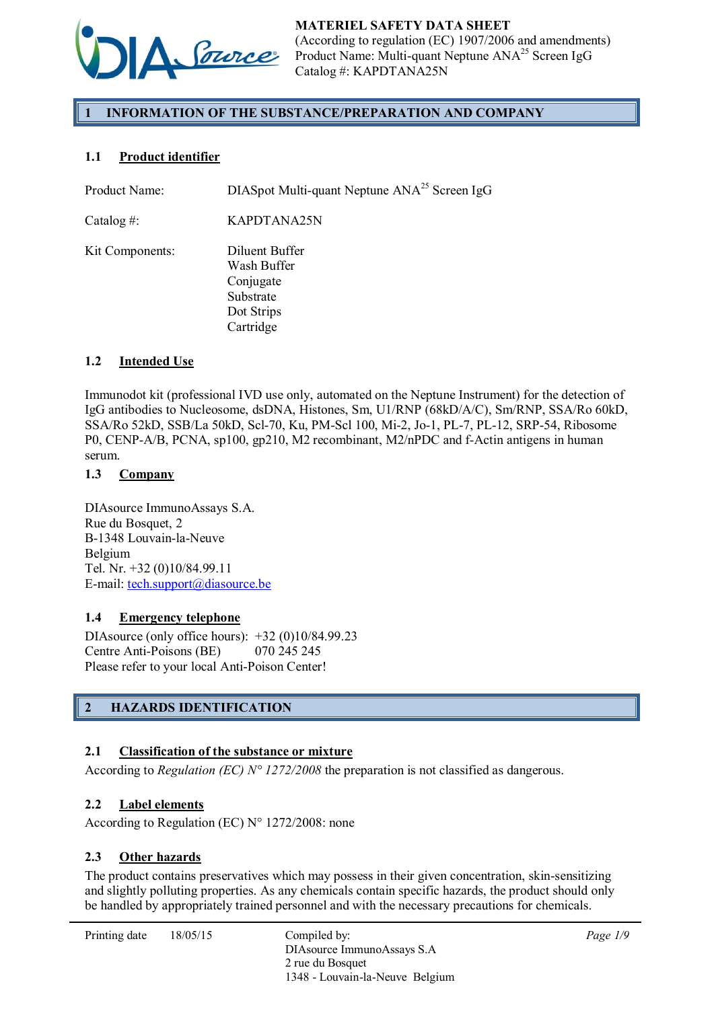

# 1 INFORMATION OF THE SUBSTANCE/PREPARATION AND COMPANY

# 1.1 Product identifier

Product Name: DIASpot Multi-quant Neptune ANA<sup>25</sup> Screen IgG Catalog #: KAPDTANA25N Kit Components: Diluent Buffer Wash Buffer Conjugate Substrate Dot Strips Cartridge

# 1.2 Intended Use

Immunodot kit (professional IVD use only, automated on the Neptune Instrument) for the detection of IgG antibodies to Nucleosome, dsDNA, Histones, Sm, U1/RNP (68kD/A/C), Sm/RNP, SSA/Ro 60kD, SSA/Ro 52kD, SSB/La 50kD, Scl-70, Ku, PM-Scl 100, Mi-2, Jo-1, PL-7, PL-12, SRP-54, Ribosome P0, CENP-A/B, PCNA, sp100, gp210, M2 recombinant, M2/nPDC and f-Actin antigens in human serum.

# 1.3 Company

DIAsource ImmunoAssays S.A. Rue du Bosquet, 2 B-1348 Louvain-la-Neuve Belgium Tel. Nr. +32 (0)10/84.99.11 E-mail: tech.support@diasource.be

# 1.4 Emergency telephone

DIAsource (only office hours): +32 (0)10/84.99.23 Centre Anti-Poisons (BE) 070 245 245 Please refer to your local Anti-Poison Center!

# 2 HAZARDS IDENTIFICATION

# 2.1 Classification of the substance or mixture

According to *Regulation (EC) N° 1272/2008* the preparation is not classified as dangerous.

# 2.2 Label elements

According to Regulation (EC) N° 1272/2008: none

# 2.3 Other hazards

The product contains preservatives which may possess in their given concentration, skin-sensitizing and slightly polluting properties. As any chemicals contain specific hazards, the product should only be handled by appropriately trained personnel and with the necessary precautions for chemicals.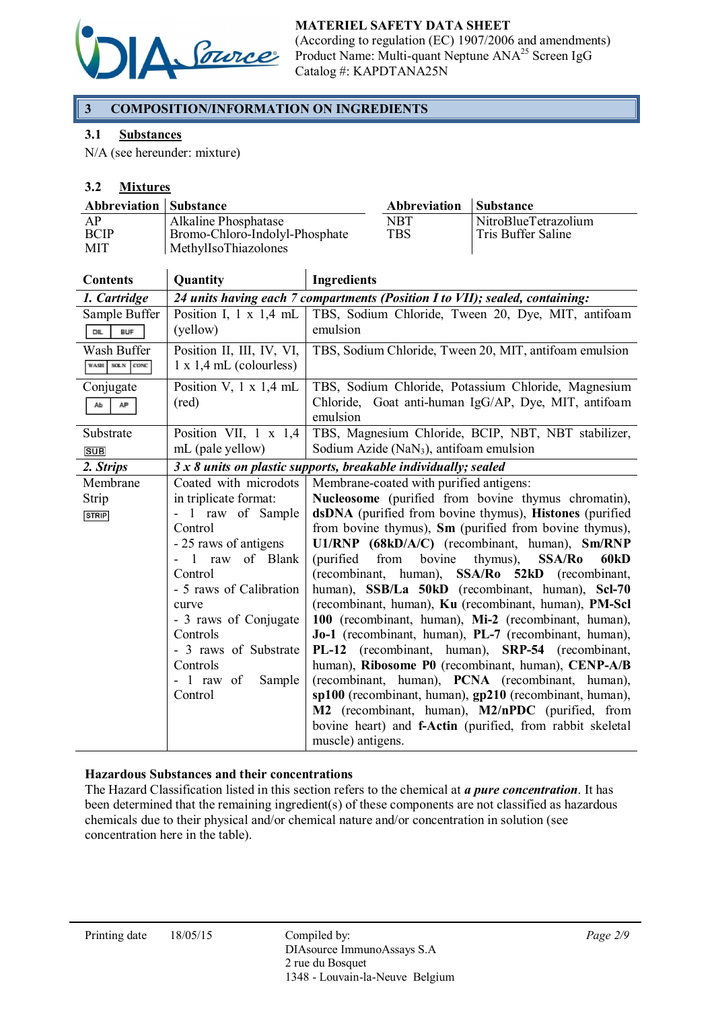

# MATERIEL SAFETY DATA SHEET

(According to regulation (EC) 1907/2006 and amendments) Product Name: Multi-quant Neptune ANA<sup>25</sup> Screen IgG Catalog #: KAPDTANA25N

# 3 COMPOSITION/INFORMATION ON INGREDIENTS

### 3.1 Substances

N/A (see hereunder: mixture)

### 3.2 Mixtures

| <b>Abbreviation Substance</b>   |                                                                                |                    | Abbreviation      | <b>Substance</b>                           |
|---------------------------------|--------------------------------------------------------------------------------|--------------------|-------------------|--------------------------------------------|
| AP<br><b>BCIP</b><br><b>MIT</b> | Alkaline Phosphatase<br>Bromo-Chloro-Indolyl-Phosphate<br>MethylIsoThiazolones |                    | NBT<br><b>TBS</b> | NitroBlueTetrazolium<br>Tris Buffer Saline |
| <b>Contents</b>                 | <b>Quantity</b>                                                                | <b>Ingredients</b> |                   |                                            |

| Сопспе             | Vuanuty                        | mgrunum                                                                       |
|--------------------|--------------------------------|-------------------------------------------------------------------------------|
| 1. Cartridge       |                                | 24 units having each 7 compartments (Position I to VII); sealed, containing:  |
| Sample Buffer      | Position I, $1 \times 1.4$ mL  | TBS, Sodium Chloride, Tween 20, Dye, MIT, antifoam                            |
| DIL.<br><b>BUF</b> | (yellow)                       | emulsion                                                                      |
| Wash Buffer        | Position II, III, IV, VI,      | TBS, Sodium Chloride, Tween 20, MIT, antifoam emulsion                        |
| WASH SOLN CONC     | $1 \times 1.4$ mL (colourless) |                                                                               |
| Conjugate          | Position V, $1 \times 1.4$ mL  | TBS, Sodium Chloride, Potassium Chloride, Magnesium                           |
| AP<br>Ab           | (red)                          | Chloride, Goat anti-human IgG/AP, Dye, MIT, antifoam                          |
|                    |                                | emulsion                                                                      |
| Substrate          | Position VII, $1 \times 1,4$   | TBS, Magnesium Chloride, BCIP, NBT, NBT stabilizer,                           |
| <b>SUB</b>         | mL (pale yellow)               | Sodium Azide ( $\text{NaN}_3$ ), antifoam emulsion                            |
| 2. Strips          |                                | $3x8$ units on plastic supports, breakable individually; sealed               |
| Membrane           | Coated with microdots          | Membrane-coated with purified antigens:                                       |
| Strip              | in triplicate format:          | Nucleosome (purified from bovine thymus chromatin),                           |
| <b>STRIP</b>       | - 1 raw of Sample              | dsDNA (purified from bovine thymus), Histones (purified                       |
|                    | Control                        | from bovine thymus), Sm (purified from bovine thymus),                        |
|                    | - 25 raws of antigens          | U1/RNP (68kD/A/C) (recombinant, human), Sm/RNP                                |
|                    | raw of Blank                   | from<br>bovine<br><b>SSA/Ro</b><br>60 <sub>kD</sub><br>(purified)<br>thymus), |
|                    | Control                        | (recombinant,<br>human), SSA/Ro 52kD (recombinant,                            |
|                    | - 5 raws of Calibration        | human), SSB/La 50kD (recombinant, human), Scl-70                              |
|                    | curve                          | (recombinant, human), Ku (recombinant, human), PM-Scl                         |
|                    | - 3 raws of Conjugate          | 100 (recombinant, human), Mi-2 (recombinant, human),                          |
|                    | Controls                       | Jo-1 (recombinant, human), PL-7 (recombinant, human),                         |
|                    | - 3 raws of Substrate          | PL-12 (recombinant, human), SRP-54 (recombinant,                              |
|                    | Controls                       | human), Ribosome P0 (recombinant, human), CENP-A/B                            |
|                    | $-1$ raw of<br>Sample          | (recombinant, human), <b>PCNA</b> (recombinant, human),                       |
|                    | Control                        | sp100 (recombinant, human), gp210 (recombinant, human),                       |
|                    |                                | M2 (recombinant, human), M2/nPDC (purified, from                              |
|                    |                                | bovine heart) and <b>f-Actin</b> (purified, from rabbit skeletal              |
|                    |                                | muscle) antigens.                                                             |

#### Hazardous Substances and their concentrations

The Hazard Classification listed in this section refers to the chemical at *a pure concentration*. It has been determined that the remaining ingredient(s) of these components are not classified as hazardous chemicals due to their physical and/or chemical nature and/or concentration in solution (see concentration here in the table).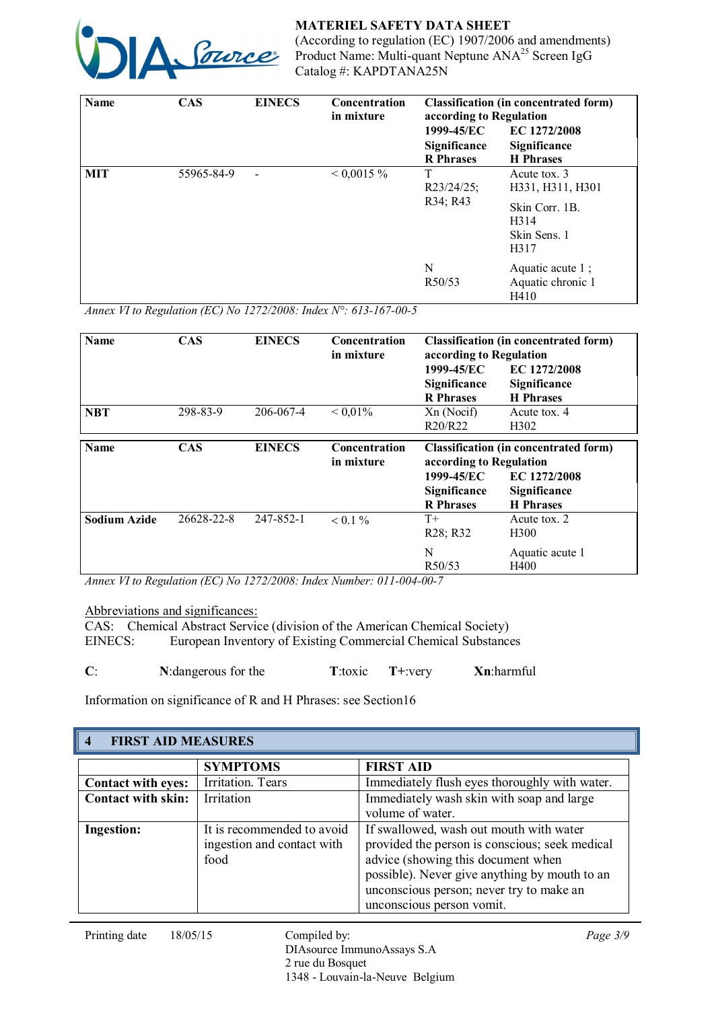

MATERIEL SAFETY DATA SHEET (According to regulation (EC) 1907/2006 and amendments)

Product Name: Multi-quant Neptune ANA<sup>25</sup> Screen IgG Catalog #: KAPDTANA25N

| Name       | <b>CAS</b> | <b>EINECS</b><br>Concentration<br>in mixture |               | <b>Classification (in concentrated form)</b><br>according to Regulation |                                                                                    |  |
|------------|------------|----------------------------------------------|---------------|-------------------------------------------------------------------------|------------------------------------------------------------------------------------|--|
|            |            |                                              |               | 1999-45/EC                                                              | EC 1272/2008                                                                       |  |
|            |            |                                              |               | Significance<br><b>R</b> Phrases                                        | Significance<br><b>H</b> Phrases                                                   |  |
| <b>MIT</b> | 55965-84-9 |                                              | $< 0.0015 \%$ | T<br>$R23/24/25$ ;<br>R34; R43                                          | Acute tox. 3<br>H331, H311, H301<br>Skin Corr. 1B.<br>H314<br>Skin Sens. 1<br>H317 |  |
|            |            |                                              |               | N<br>R50/53                                                             | Aquatic acute $1$ ;<br>Aquatic chronic 1<br>H410                                   |  |

*Annex VI to Regulation (EC) No 1272/2008: Index N°: 613-167-00-5*

| <b>Name</b>         | <b>CAS</b> | <b>EINECS</b> | <b>Concentration</b><br>in mixture | <b>Classification (in concentrated form)</b><br>according to Regulation |                                  |
|---------------------|------------|---------------|------------------------------------|-------------------------------------------------------------------------|----------------------------------|
|                     |            |               |                                    | 1999-45/EC                                                              | EC 1272/2008                     |
|                     |            |               |                                    | Significance<br><b>R</b> Phrases                                        | Significance<br><b>H</b> Phrases |
| <b>NBT</b>          | 298-83-9   | 206-067-4     | ${}< 0.01\%$                       | Xn (Nocif)                                                              | Acute tox. 4                     |
|                     |            |               |                                    | R20/R22                                                                 | H <sub>3</sub> 02                |
| <b>Name</b>         | <b>CAS</b> | <b>EINECS</b> | <b>Concentration</b><br>in mixture | <b>Classification (in concentrated form)</b><br>according to Regulation |                                  |
|                     |            |               |                                    | 1999-45/EC                                                              | EC 1272/2008                     |
|                     |            |               |                                    | Significance<br><b>R</b> Phrases                                        | Significance<br><b>H</b> Phrases |
| <b>Sodium Azide</b> | 26628-22-8 | 247-852-1     | $< 0.1 \%$                         | $T+$<br>R <sub>28</sub> ; R <sub>32</sub>                               | Acute tox. 2<br>H <sub>300</sub> |
|                     |            |               |                                    | N<br>R <sub>50</sub> /53                                                | Aquatic acute 1<br>H400          |

*Annex VI to Regulation (EC) No 1272/2008: Index Number: 011-004-00-7*

Abbreviations and significances:

CAS: Chemical Abstract Service (division of the American Chemical Society)<br>EINECS: European Inventory of Existing Commercial Chemical Substance European Inventory of Existing Commercial Chemical Substances

| N: dangerous for the | $T+$ : very<br>T:toxic | Xn:harmful |
|----------------------|------------------------|------------|
|                      |                        |            |

Information on significance of R and H Phrases: see Section16

| <b>FIRST AID MEASURES</b><br>$\overline{\mathbf{4}}$ |                                                                  |                                                                                                                                                                                                                                                           |  |
|------------------------------------------------------|------------------------------------------------------------------|-----------------------------------------------------------------------------------------------------------------------------------------------------------------------------------------------------------------------------------------------------------|--|
|                                                      | <b>SYMPTOMS</b>                                                  | <b>FIRST AID</b>                                                                                                                                                                                                                                          |  |
| <b>Contact with eyes:</b>                            | Irritation. Tears                                                | Immediately flush eyes thoroughly with water.                                                                                                                                                                                                             |  |
| Contact with skin:                                   | Irritation                                                       | Immediately wash skin with soap and large                                                                                                                                                                                                                 |  |
|                                                      |                                                                  | volume of water.                                                                                                                                                                                                                                          |  |
| <b>Ingestion:</b>                                    | It is recommended to avoid<br>ingestion and contact with<br>food | If swallowed, wash out mouth with water<br>provided the person is conscious; seek medical<br>advice (showing this document when<br>possible). Never give anything by mouth to an<br>unconscious person; never try to make an<br>unconscious person vomit. |  |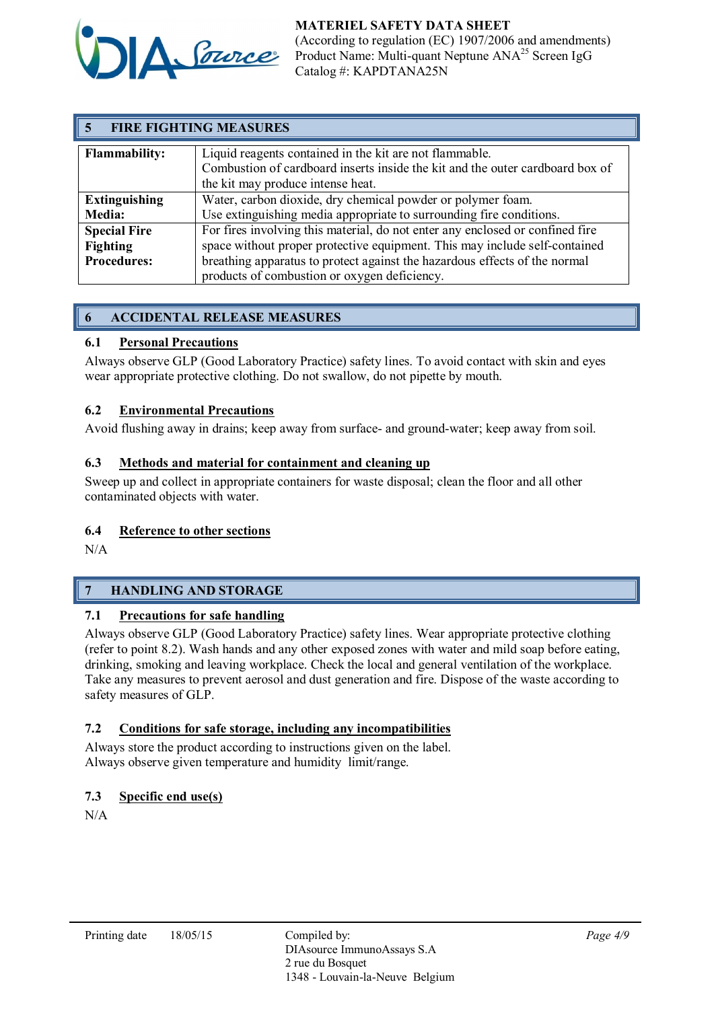

#### MATERIEL SAFETY DATA SHEET (According to regulation (EC) 1907/2006 and amendments) Product Name: Multi-quant Neptune ANA<sup>25</sup> Screen IgG Catalog #: KAPDTANA25N

| <b>FIRE FIGHTING MEASURES</b> |                                                                                                                                                                               |  |
|-------------------------------|-------------------------------------------------------------------------------------------------------------------------------------------------------------------------------|--|
| <b>Flammability:</b>          | Liquid reagents contained in the kit are not flammable.<br>Combustion of cardboard inserts inside the kit and the outer cardboard box of<br>the kit may produce intense heat. |  |
| <b>Extinguishing</b>          | Water, carbon dioxide, dry chemical powder or polymer foam.                                                                                                                   |  |
| <b>Media:</b>                 | Use extinguishing media appropriate to surrounding fire conditions.                                                                                                           |  |
| <b>Special Fire</b>           | For fires involving this material, do not enter any enclosed or confined fire                                                                                                 |  |
| Fighting                      | space without proper protective equipment. This may include self-contained                                                                                                    |  |
| <b>Procedures:</b>            | breathing apparatus to protect against the hazardous effects of the normal                                                                                                    |  |
|                               | products of combustion or oxygen deficiency.                                                                                                                                  |  |

# 6 ACCIDENTAL RELEASE MEASURES

# 6.1 Personal Precautions

Always observe GLP (Good Laboratory Practice) safety lines. To avoid contact with skin and eyes wear appropriate protective clothing. Do not swallow, do not pipette by mouth.

# 6.2 Environmental Precautions

Avoid flushing away in drains; keep away from surface- and ground-water; keep away from soil.

# 6.3 Methods and material for containment and cleaning up

Sweep up and collect in appropriate containers for waste disposal; clean the floor and all other contaminated objects with water.

# 6.4 Reference to other sections

N/A

# 7 HANDLING AND STORAGE

# 7.1 Precautions for safe handling

Always observe GLP (Good Laboratory Practice) safety lines. Wear appropriate protective clothing (refer to point 8.2). Wash hands and any other exposed zones with water and mild soap before eating, drinking, smoking and leaving workplace. Check the local and general ventilation of the workplace. Take any measures to prevent aerosol and dust generation and fire. Dispose of the waste according to safety measures of GLP.

# 7.2 Conditions for safe storage, including any incompatibilities

Always store the product according to instructions given on the label. Always observe given temperature and humidity limit/range.

# 7.3 Specific end use(s)

N/A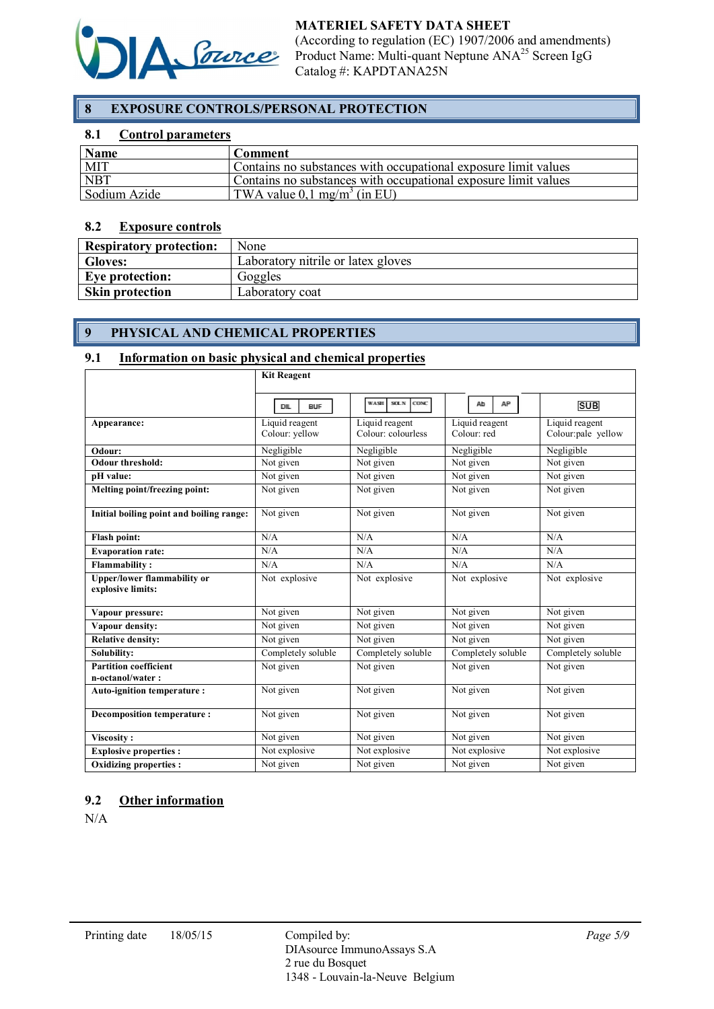

# 8 EXPOSURE CONTROLS/PERSONAL PROTECTION

#### 8.1 Control parameters

| <b>Name</b>  | Comment                                                        |
|--------------|----------------------------------------------------------------|
| <b>MIT</b>   | Contains no substances with occupational exposure limit values |
| <b>NBT</b>   | Contains no substances with occupational exposure limit values |
| Sodium Azide | TWA value $0.1 \text{ mg/m}^3$ (in EU)                         |

#### 8.2 Exposure controls

| <b>Respiratory protection:</b> | None                               |
|--------------------------------|------------------------------------|
| <b>Gloves:</b>                 | Laboratory nitrile or latex gloves |
| Eve protection:                | Goggles                            |
| <b>Skin protection</b>         | Laboratory coat                    |

# 9 PHYSICAL AND CHEMICAL PROPERTIES

#### 9.1 Information on basic physical and chemical properties

|                                                         | <b>Kit Reagent</b>               |                                      |                               |                                      |
|---------------------------------------------------------|----------------------------------|--------------------------------------|-------------------------------|--------------------------------------|
|                                                         | <b>DIL</b><br><b>BUF</b>         | <b>WASH</b><br>SOLN<br>CONC.         | Ab<br>AP                      | <b>SUB</b>                           |
| Appearance:                                             | Liquid reagent<br>Colour: yellow | Liquid reagent<br>Colour: colourless | Liquid reagent<br>Colour: red | Liquid reagent<br>Colour:pale yellow |
| Odour:                                                  | Negligible                       | Negligible                           | Negligible                    | Negligible                           |
| <b>Odour threshold:</b>                                 | Not given                        | Not given                            | Not given                     | Not given                            |
| pH value:                                               | Not given                        | Not given                            | Not given                     | Not given                            |
| Melting point/freezing point:                           | Not given                        | Not given                            | Not given                     | Not given                            |
| Initial boiling point and boiling range:                | Not given                        | Not given                            | Not given                     | Not given                            |
| <b>Flash point:</b>                                     | N/A                              | N/A                                  | N/A                           | N/A                                  |
| <b>Evaporation rate:</b>                                | N/A                              | N/A                                  | N/A                           | N/A                                  |
| <b>Flammability:</b>                                    | N/A                              | N/A                                  | N/A                           | N/A                                  |
| <b>Upper/lower flammability or</b><br>explosive limits: | Not explosive                    | Not explosive                        | Not explosive                 | Not explosive                        |
| Vapour pressure:                                        | Not given                        | Not given                            | Not given                     | Not given                            |
| Vapour density:                                         | Not given                        | Not given                            | Not given                     | Not given                            |
| <b>Relative density:</b>                                | Not given                        | Not given                            | Not given                     | Not given                            |
| Solubility:                                             | Completely soluble               | Completely soluble                   | Completely soluble            | Completely soluble                   |
| <b>Partition coefficient</b><br>n-octanol/water:        | Not given                        | Not given                            | Not given                     | Not given                            |
| <b>Auto-ignition temperature:</b>                       | Not given                        | Not given                            | Not given                     | $\overline{\text{Not}}$ given        |
| <b>Decomposition temperature:</b>                       | Not given                        | Not given                            | Not given                     | Not given                            |
| Viscosity:                                              | Not given                        | Not given                            | Not given                     | Not given                            |
| <b>Explosive properties:</b>                            | Not explosive                    | Not explosive                        | Not explosive                 | Not explosive                        |
| <b>Oxidizing properties:</b>                            | Not given                        | Not given                            | Not given                     | Not given                            |

#### 9.2 Other information

N/A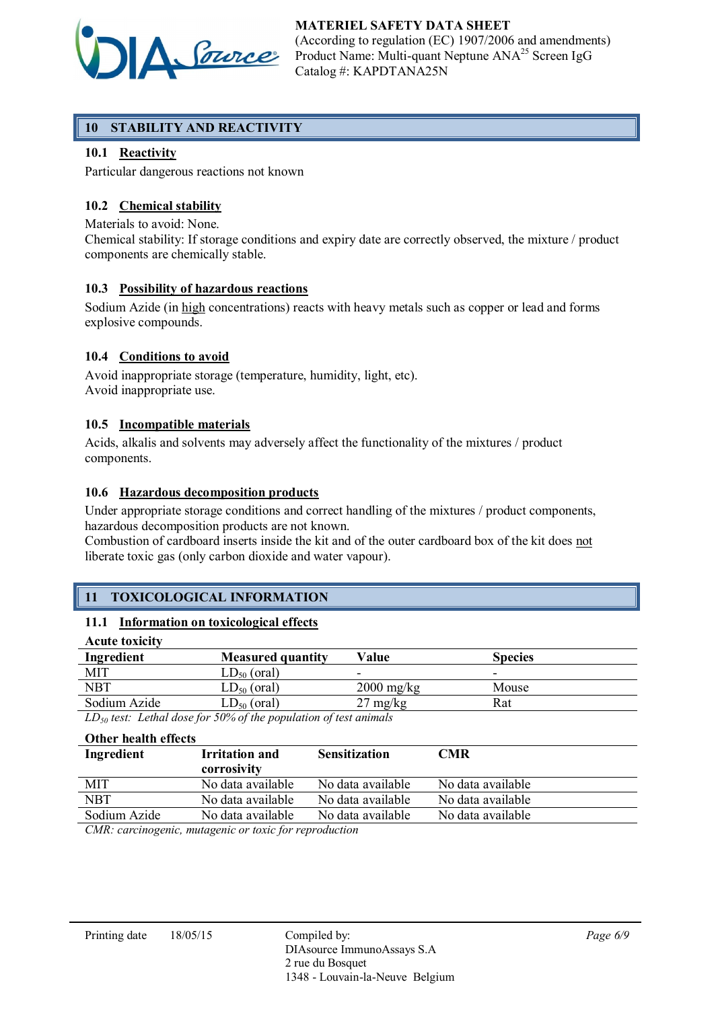

MATERIEL SAFETY DATA SHEET (According to regulation (EC) 1907/2006 and amendments) Product Name: Multi-quant Neptune ANA<sup>25</sup> Screen IgG Catalog #: KAPDTANA25N

# 10 STABILITY AND REACTIVITY

# 10.1 Reactivity

Particular dangerous reactions not known

# 10.2 Chemical stability

Materials to avoid: None.

Chemical stability: If storage conditions and expiry date are correctly observed, the mixture / product components are chemically stable.

# 10.3 Possibility of hazardous reactions

Sodium Azide (in high concentrations) reacts with heavy metals such as copper or lead and forms explosive compounds.

# 10.4 Conditions to avoid

Avoid inappropriate storage (temperature, humidity, light, etc). Avoid inappropriate use.

#### 10.5 Incompatible materials

Acids, alkalis and solvents may adversely affect the functionality of the mixtures / product components.

#### 10.6 Hazardous decomposition products

Under appropriate storage conditions and correct handling of the mixtures / product components, hazardous decomposition products are not known.

Combustion of cardboard inserts inside the kit and of the outer cardboard box of the kit does not liberate toxic gas (only carbon dioxide and water vapour).

# 11 TOXICOLOGICAL INFORMATION

# 11.1 Information on toxicological effects

| <b>Acute toxicity</b> |                          |                          |                          |
|-----------------------|--------------------------|--------------------------|--------------------------|
| Ingredient            | <b>Measured quantity</b> | Value                    | <b>Species</b>           |
| <b>MIT</b>            | $LD_{50}$ (oral)         | $\overline{\phantom{0}}$ | $\overline{\phantom{0}}$ |
| <b>NBT</b>            | $LD_{50}$ (oral)         | $2000 \text{ mg/kg}$     | Mouse                    |
| Sodium Azide          | $LD_{50}$ (oral)         | $27 \text{ mg/kg}$       | Rat                      |

*LD50 test: Lethal dose for 50% of the population of test animals*

#### Other health effects

| Ingredient   | <b>Irritation and</b><br>corrosivity                              | <b>Sensitization</b> | CMR               |
|--------------|-------------------------------------------------------------------|----------------------|-------------------|
| MIT          | No data available                                                 | No data available    | No data available |
| NBT          | No data available                                                 | No data available    | No data available |
| Sodium Azide | No data available                                                 | No data available    | No data available |
|              | $CMB$ is the same of the same of $\alpha$ is the same of $\alpha$ |                      |                   |

*CMR: carcinogenic, mutagenic or toxic for reproduction*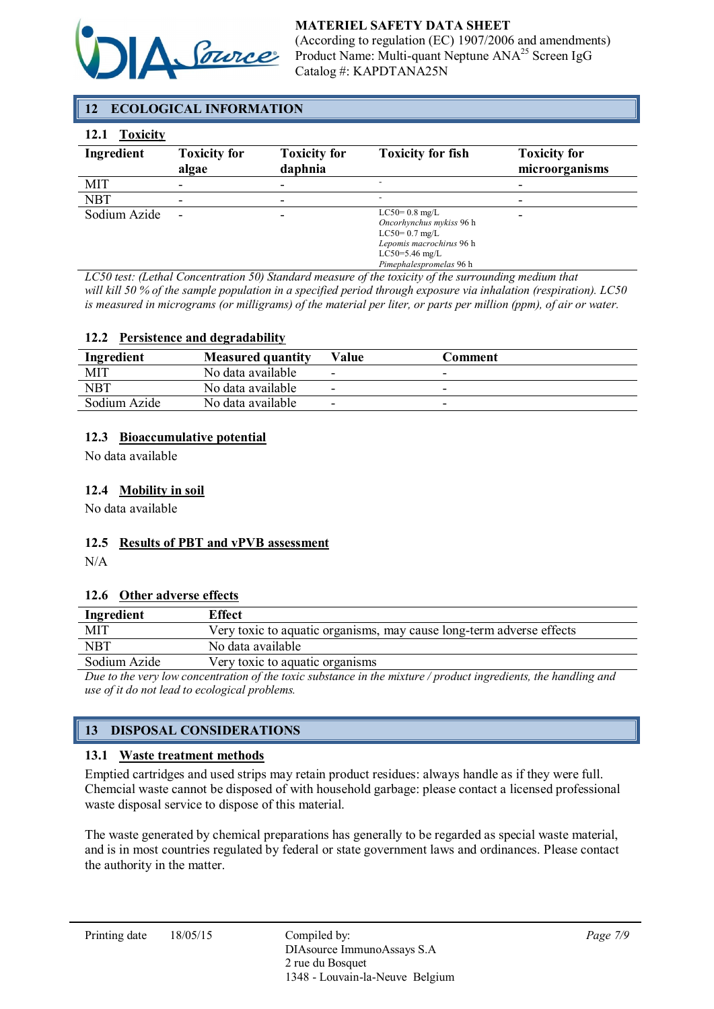

# MATERIEL SAFETY DATA SHEET

(According to regulation (EC) 1907/2006 and amendments) Product Name: Multi-quant Neptune ANA<sup>25</sup> Screen IgG Catalog #: KAPDTANA25N

# 12 ECOLOGICAL INFORMATION

#### 12.1 Toxicity

| Ingredient   | <b>Toxicity for</b><br>algae | <b>Toxicity for</b><br>daphnia | <b>Toxicity for fish</b>                                                                                                                  | <b>Toxicity for</b><br>microorganisms |
|--------------|------------------------------|--------------------------------|-------------------------------------------------------------------------------------------------------------------------------------------|---------------------------------------|
| MIT          | ۰                            |                                |                                                                                                                                           |                                       |
| <b>NBT</b>   |                              |                                |                                                                                                                                           |                                       |
| Sodium Azide |                              |                                | $LC50=0.8$ mg/L<br>Oncorhynchus mykiss 96 h<br>$LC50=0.7$ mg/L<br>Lepomis macrochirus 96 h<br>$LC50=5.46$ mg/L<br>Pimephalespromelas 96 h |                                       |

*LC50 test: (Lethal Concentration 50) Standard measure of the toxicity of the surrounding medium that will kill 50 % of the sample population in a specified period through exposure via inhalation (respiration). LC50 is measured in micrograms (or milligrams) of the material per liter, or parts per million (ppm), of air or water.*

#### 12.2 Persistence and degradability

| Ingredient   | <b>Measured quantity</b> | Value                    | Comment |  |
|--------------|--------------------------|--------------------------|---------|--|
| MIT          | No data available        | -                        |         |  |
| <b>NBT</b>   | No data available        | $\overline{\phantom{0}}$ |         |  |
| Sodium Azide | No data available        |                          |         |  |
|              |                          |                          |         |  |

#### 12.3 Bioaccumulative potential

No data available

#### 12.4 Mobility in soil

No data available

#### 12.5 Results of PBT and vPVB assessment

N/A

#### 12.6 Other adverse effects

| Ingredient                                                                                                     | <b>Effect</b>                                                        |  |
|----------------------------------------------------------------------------------------------------------------|----------------------------------------------------------------------|--|
| MIT                                                                                                            | Very toxic to aquatic organisms, may cause long-term adverse effects |  |
| <b>NBT</b>                                                                                                     | No data available                                                    |  |
| Sodium Azide                                                                                                   | Very toxic to aquatic organisms                                      |  |
| Due to the very low concentration of the toxic substance in the mixture (product inovalients, the handling and |                                                                      |  |

*Due to the very low concentration of the toxic substance in the mixture / product ingredients, the handling and use of it do not lead to ecological problems.*

# 13 DISPOSAL CONSIDERATIONS

#### 13.1 Waste treatment methods

Emptied cartridges and used strips may retain product residues: always handle as if they were full. Chemcial waste cannot be disposed of with household garbage: please contact a licensed professional waste disposal service to dispose of this material.

The waste generated by chemical preparations has generally to be regarded as special waste material, and is in most countries regulated by federal or state government laws and ordinances. Please contact the authority in the matter.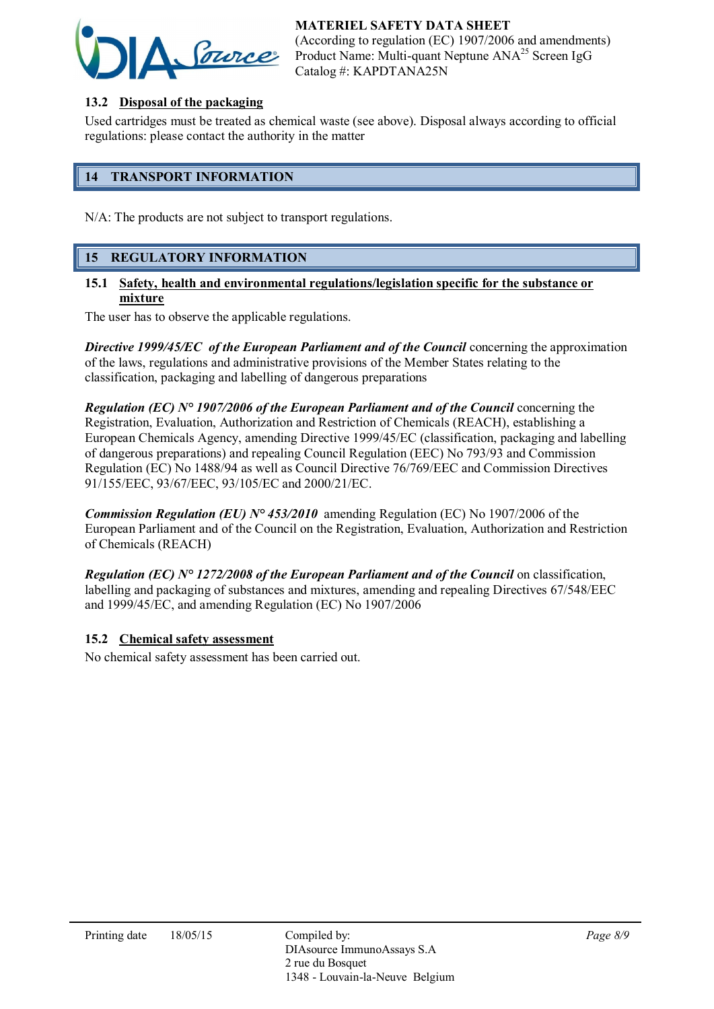# MATERIEL SAFETY DATA SHEET



(According to regulation (EC) 1907/2006 and amendments) Product Name: Multi-quant Neptune ANA<sup>25</sup> Screen IgG Catalog #: KAPDTANA25N

# 13.2 Disposal of the packaging

Used cartridges must be treated as chemical waste (see above). Disposal always according to official regulations: please contact the authority in the matter

# 14 TRANSPORT INFORMATION

N/A: The products are not subject to transport regulations.

# 15 REGULATORY INFORMATION

#### 15.1 Safety, health and environmental regulations/legislation specific for the substance or mixture

The user has to observe the applicable regulations.

**Directive 1999/45/EC** of the European Parliament and of the Council concerning the approximation of the laws, regulations and administrative provisions of the Member States relating to the classification, packaging and labelling of dangerous preparations

*Regulation (EC) N° 1907/2006 of the European Parliament and of the Council* concerning the Registration, Evaluation, Authorization and Restriction of Chemicals (REACH), establishing a European Chemicals Agency, amending Directive 1999/45/EC (classification, packaging and labelling of dangerous preparations) and repealing Council Regulation (EEC) No 793/93 and Commission Regulation (EC) No 1488/94 as well as Council Directive 76/769/EEC and Commission Directives 91/155/EEC, 93/67/EEC, 93/105/EC and 2000/21/EC.

*Commission Regulation (EU) N° 453/2010* amending Regulation (EC) No 1907/2006 of the European Parliament and of the Council on the Registration, Evaluation, Authorization and Restriction of Chemicals (REACH)

*Regulation (EC) N° 1272/2008 of the European Parliament and of the Council* on classification, labelling and packaging of substances and mixtures, amending and repealing Directives 67/548/EEC and 1999/45/EC, and amending Regulation (EC) No 1907/2006

# 15.2 Chemical safety assessment

No chemical safety assessment has been carried out.